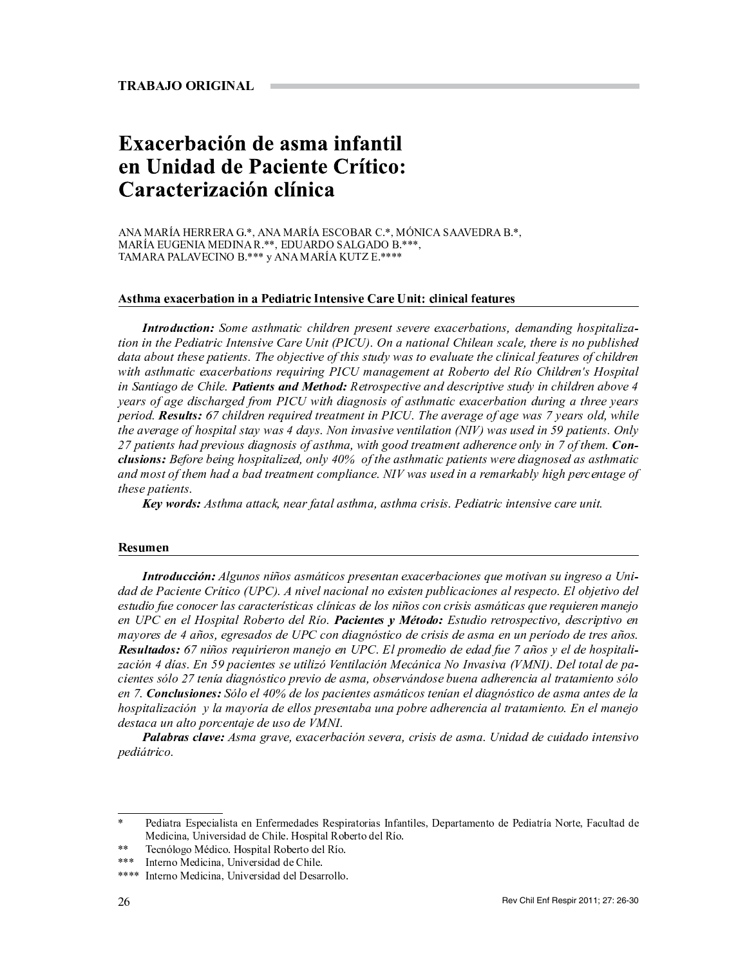# Exacerbación de asma infantil en Unidad de Paciente Crítico: Caracterización clínica

ANA MARÍA HERRERA G.\*, ANA MARÍA ESCOBAR C.\*, MÓNICA SAAVEDRA B.\*, MARÍA EUGENIA MEDINA R.\*\*, EDUARDO SALGADO B.\*\*\*, TAMARA PALAVECINO B.\*\*\* y ANA MARÍA KUTZ E.\*\*\*\*

## Asthma exacerbation in a Pediatric Intensive Care Unit: clinical features

Introduction: Some asthmatic children present severe exacerbations, demanding hospitalization in the Pediatric Intensive Care Unit (PICU). On a national Chilean scale, there is no published data about these patients. The objective of this study was to evaluate the clinical features of children with asthmatic exacerbations requiring PICU management at Roberto del Río Children's Hospital in Santiago de Chile. **Patients and Method:** Retrospective and descriptive study in children above 4 years of age discharged from PICU with diagnosis of asthmatic exacerbation during a three years period. Results: 67 children required treatment in PICU. The average of age was 7 years old, while the average of hospital stay was 4 days. Non invasive ventilation (NIV) was used in 59 patients. Only 27 patients had previous diagnosis of asthma, with good treatment adherence only in 7 of them. Con**clusions:** Before being hospitalized, only 40% of the asthmatic patients were diagnosed as asthmatic and most of them had a bad treatment compliance. NIV was used in a remarkably high percentage of these patients.

Key words: Asthma attack, near fatal asthma, asthma crisis. Pediatric intensive care unit.

#### Resumen

Introducción: Algunos niños asmáticos presentan exacerbaciones que motivan su ingreso a Unidad de Paciente Crítico (UPC). A nivel nacional no existen publicaciones al respecto. El objetivo del estudio fue conocer las características clínicas de los niños con crisis asmáticas que requieren manejo en UPC en el Hospital Roberto del Río. Pacientes y Método: Estudio retrospectivo, descriptivo en mayores de 4 años, egresados de UPC con diagnóstico de crisis de asma en un período de tres años. Resultados: 67 niños requirieron manejo en UPC. El promedio de edad fue 7 años y el de hospitalización 4 días. En 59 pacientes se utilizó Ventilación Mecánica No Invasiva (VMNI). Del total de pacientes sólo 27 tenía diagnóstico previo de asma, observándose buena adherencia al tratamiento sólo en 7. Conclusiones: Sólo el 40% de los pacientes asmáticos tenían el diagnóstico de asma antes de la hospitalización y la mayoría de ellos presentaba una pobre adherencia al tratamiento. En el manejo destaca un alto porcentaje de uso de VMNI.

Palabras clave: Asma grave, exacerbación severa, crisis de asma. Unidad de cuidado intensivo *pediátrico.* 

Pediatra Especialista en Enfermedades Respiratorias Infantiles, Departamento de Pediatría Norte, Facultad de Medicina, Universidad de Chile. Hospital Roberto del Río.

 $* *$ Tecnólogo Médico. Hospital Roberto del Río.

 $***$ Interno Medicina, Universidad de Chile.

Interno Medicina, Universidad del Desarrollo.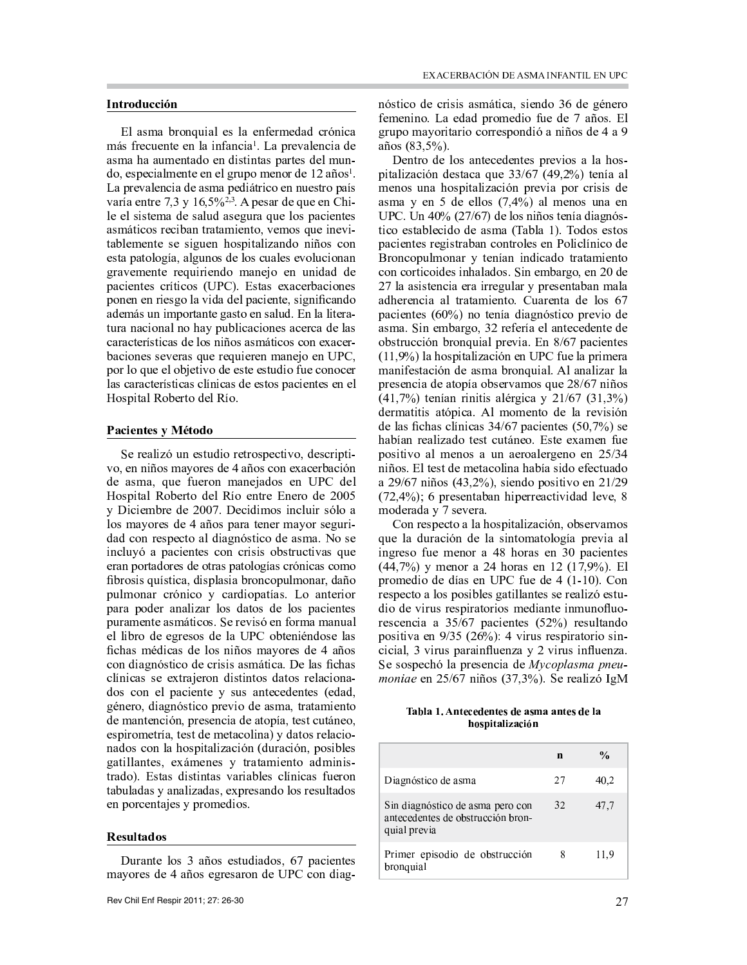## Introducción

El asma bronquial es la enfermedad crónica más frecuente en la infancia<sup>1</sup>. La prevalencia de asma ha aumentado en distintas partes del mun- $\alpha$ , especialmente en el grupo menor de 12 años<sup>1</sup>. La prevalencia de asma pediátrico en nuestro país varía entre 7,3 y  $16,5\frac{62}{3}$ . A pesar de que en Chile el sistema de salud asegura que los pacientes asmáticos reciban tratamiento, vemos que inevitablemente se siguen hospitalizando niños con esta patología, algunos de los cuales evolucionan gravemente requiriendo manejo en unidad de pacientes críticos (UPC). Estas exacerbaciones ponen en riesgo la vida del paciente, significando además un importante gasto en salud. En la literatura nacional no hay publicaciones acerca de las características de los niños asmáticos con exacerbaciones severas que requieren manejo en UPC, por lo que el objetivo de este estudio fue conocer las características clínicas de estos pacientes en el Hospital Roberto del Río.

## Pacientes v Método

<sup>õ</sup> <sup>Å</sup> ¿ <sup>Å</sup> » <sup>º</sup> <sup>Ä</sup> <sup>ä</sup> <sup>É</sup> <sup>Ã</sup> <sup>Á</sup> <sup>Å</sup> <sup>¼</sup> <sup>Ë</sup> <sup>Ã</sup> <sup>Ç</sup> <sup>Ä</sup> <sup>À</sup> ¿ <sup>Å</sup> <sup>Ë</sup> ¿ <sup>À</sup> <sup>¼</sup> <sup>Ï</sup> <sup>Å</sup> <sup>È</sup> <sup>Ë</sup> <sup>Ä</sup> <sup>Ð</sup> <sup>À</sup> <sup>Ó</sup> <sup>Ç</sup> <sup>Å</sup> <sup>¼</sup> <sup>È</sup> ¿ <sup>Ä</sup> <sup>Ï</sup> <sup>Ë</sup> <sup>Ä</sup> <sup>Ò</sup> vo, en niños mayores de 4 años con exacerbación de asma, que fueron manejados en UPC del Hospital Roberto del Río entre Enero de 2005 y Diciembre de 2007. Decidimos incluir sólo a los mayores de 4 años para tener mayor seguridad con respecto al diagnóstico de asma. No se incluyó a pacientes con crisis obstructivas que eran portadores de otras patologías crónicas como fibrosis quística, displasia broncopulmonar, daño pulmonar crónico y cardiopatías. Lo anterior para poder analizar los datos de los pacientes  $\blacksquare$ el libro de egresos de la UPC obteniéndose las fichas médicas de los niños mayores de 4 años con diagnóstico de crisis asmática. De las fichas clínicas se extrajeron distintos datos relacionados con el paciente y sus antecedentes (edad, género, diagnóstico previo de asma, tratamiento de mantención, presencia de atopía, test cutáneo, espirometría, test de metacolina) y datos relacionados con la hospitalización (duración, posibles gatillantes, exámenes y tratamiento administrado). Estas distintas variables clínicas fueron tabuladas y analizadas, expresando los resultados en porcentajes y promedios.

#### Resultados

Durante los 3 años estudiados, 67 pacientes mavores de 4 años egresaron de UPC con diagnóstico de crisis asmática, siendo 36 de género femenino. La edad promedio fue de 7 años. El grupo mayoritario correspondió a niños de 4 a 9  $a\tilde{n}$ os (83.5%).

Dentro de los antecedentes previos a la hospitalización destaca que 33/67 (49,2%) tenía al menos una hospitalización previa por crisis de asma y en 5 de ellos  $(7,4\%)$  al menos una en UPC. Un  $40\%$  (27/67) de los niños tenía diagnóstico establecido de asma (Tabla 1). Todos estos pacientes registraban controles en Policlínico de ¿ <sup>À</sup> <sup>Á</sup> <sup>È</sup> <sup>À</sup> <sup>Ï</sup> <sup>Ã</sup> <sup>º</sup> <sup>½</sup> <sup>À</sup> <sup>Á</sup> » ¿ <sup>Û</sup> <sup>Ë</sup> <sup>Å</sup> <sup>Á</sup> <sup>Ø</sup> » <sup>Á</sup> <sup>Ä</sup> <sup>Á</sup> <sup>Ç</sup> <sup>Ä</sup> <sup>È</sup> » <sup>Ç</sup> <sup>À</sup> <sup>Ë</sup> ¿ » <sup>Ë</sup> » <sup>½</sup> <sup>Ä</sup> <sup>Å</sup> <sup>Á</sup> <sup>Ë</sup> <sup>À</sup> <sup>È</sup> <sup>À</sup> <sup>Á</sup> <sup>È</sup> <sup>À</sup> ¿ <sup>Ë</sup> <sup>Ä</sup> <sup>È</sup> <sup>À</sup> <sup>Ä</sup> <sup>Ç</sup> <sup>Å</sup> <sup>¼</sup> <sup>Ä</sup> <sup>Á</sup> <sup>Ñ</sup> » <sup>º</sup> » <sup>Ç</sup> <sup>À</sup> <sup>¼</sup> <sup>Í</sup> <sup>õ</sup> <sup>Ä</sup> <sup>Á</sup> <sup>Å</sup> <sup>½</sup> <sup>¾</sup> » ¿ <sup>Ô</sup> <sup>À</sup> <sup>Ó</sup> <sup>Å</sup> <sup>Á</sup> <sup>Ö</sup> <sup>÷</sup> <sup>Ç</sup> <sup>Å</sup>  $27$  la asistencia era irregular y presentaban mala adherencia al tratamiento. Cuarenta de los 67 pacientes (60%) no tenía diagnóstico previo de » <sup>¼</sup> <sup>½</sup> » <sup>Í</sup> <sup>õ</sup> <sup>Ä</sup> <sup>Á</sup> <sup>Å</sup> <sup>½</sup> <sup>¾</sup> » ¿ <sup>Ô</sup> <sup>À</sup> <sup>Ó</sup> <sup>Ú</sup> <sup>Ö</sup> ¿ <sup>Å</sup> <sup>Æ</sup> <sup>Å</sup> ¿ <sup>Ø</sup> » <sup>Å</sup> <sup>º</sup> » <sup>Á</sup> <sup>Ë</sup> <sup>Å</sup> <sup>È</sup> <sup>Å</sup> <sup>Ç</sup> <sup>Å</sup> <sup>Á</sup> <sup>Ë</sup> <sup>Å</sup> <sup>Ç</sup> <sup>Å</sup> obstrucción bronquial previa. En 8/67 pacientes  $(11,9\%)$  la hospitalización en UPC fue la primera manifestación de asma bronquial. Al analizar la presencia de atopía observamos que 28/67 niños  $(41,7\%)$  tenían rinitis alérgica y 21/67  $(31,3\%)$ dermatitis atópica. Al momento de la revisión de las fichas clínicas  $34/67$  pacientes  $(50,7\%)$  se habían realizado test cutáneo. Este examen fue positivo al menos a un aeroalergeno en 25/34 niños. El test de metacolina había sido efectuado a  $29/67$  niños  $(43,2\%)$ , siendo positivo en  $21/29$ <sup>æ</sup> <sup>Ù</sup> <sup>Ö</sup> <sup>Ó</sup> <sup>ö</sup> <sup>Þ</sup> <sup>é</sup> - <sup>Ü</sup> <sup>Ï</sup> ¿ <sup>Å</sup> <sup>¼</sup> <sup>Å</sup> <sup>Á</sup> <sup>Ë</sup> » <sup>¾</sup> » <sup>Á</sup> <sup>Ñ</sup> <sup>Ä</sup> <sup>Ï</sup> <sup>Å</sup> ¿ ¿ <sup>Å</sup> » <sup>È</sup> <sup>Ë</sup> <sup>Ä</sup> <sup>Ð</sup> <sup>Ä</sup> <sup>Ç</sup> » <sup>Ç</sup> <sup>º</sup> <sup>Å</sup> <sup>Ð</sup> <sup>Å</sup> <sup>Ó</sup> <sup>þ</sup> moderada y 7 severa.

Con respecto a la hospitalización, observamos que la duración de la sintomatología previa al ingreso fue menor a 48 horas en 30 pacientes  $(44,7\%)$  y menor a 24 horas en 12  $(17,9\%)$ . El promedio de días en UPC fue de 4 (1-10). Con respecto a los posibles gatillantes se realizó estudio de virus respiratorios mediante inmunofluorescencia a 35/67 pacientes (52%) resultando positiva en  $9/35$  (26%): 4 virus respiratorio sincicial, 3 virus parainfluenza y 2 virus influenza. <sup>õ</sup> <sup>Å</sup> <sup>¼</sup> <sup>À</sup> <sup>¼</sup> <sup>Ï</sup> <sup>Å</sup> <sup>È</sup> <sup>Ñ</sup> <sup>É</sup> <sup>º</sup> » <sup>Ï</sup> ¿ <sup>Å</sup> <sup>¼</sup> <sup>Å</sup> <sup>Á</sup> <sup>È</sup> <sup>Ä</sup> » <sup>Ç</sup> <sup>Å</sup> <sup>Å</sup> <sup>Á</sup> <sup>Ö</sup> <sup>Ý</sup> <sup>ÿ</sup> <sup>Ü</sup> <sup>Ù</sup> <sup>Á</sup> <sup>Ä</sup> <sup>×</sup> <sup>À</sup> <sup>¼</sup> <sup>æ</sup> <sup>Ú</sup> <sup>Ù</sup> <sup>Ó</sup> <sup>Ú</sup> <sup>Þ</sup> <sup>é</sup> <sup>Í</sup> <sup>õ</sup> <sup>Å</sup> ¿ <sup>Å</sup> » <sup>º</sup> <sup>Ä</sup> <sup>ä</sup> <sup>É</sup> <sup>Ô</sup>

 ! ! " ! hospitalizació

|                                                                                       | n  | $\frac{0}{2}$ |
|---------------------------------------------------------------------------------------|----|---------------|
| Diagnóstico de asma                                                                   | 27 | 40,2          |
| Sin diagnóstico de asma pero con<br>antecedentes de obstrucción bron-<br>quial previa | 32 | 47,7          |
| Primer episodio de obstrucción<br>bronquial                                           | 8  | 11.9          |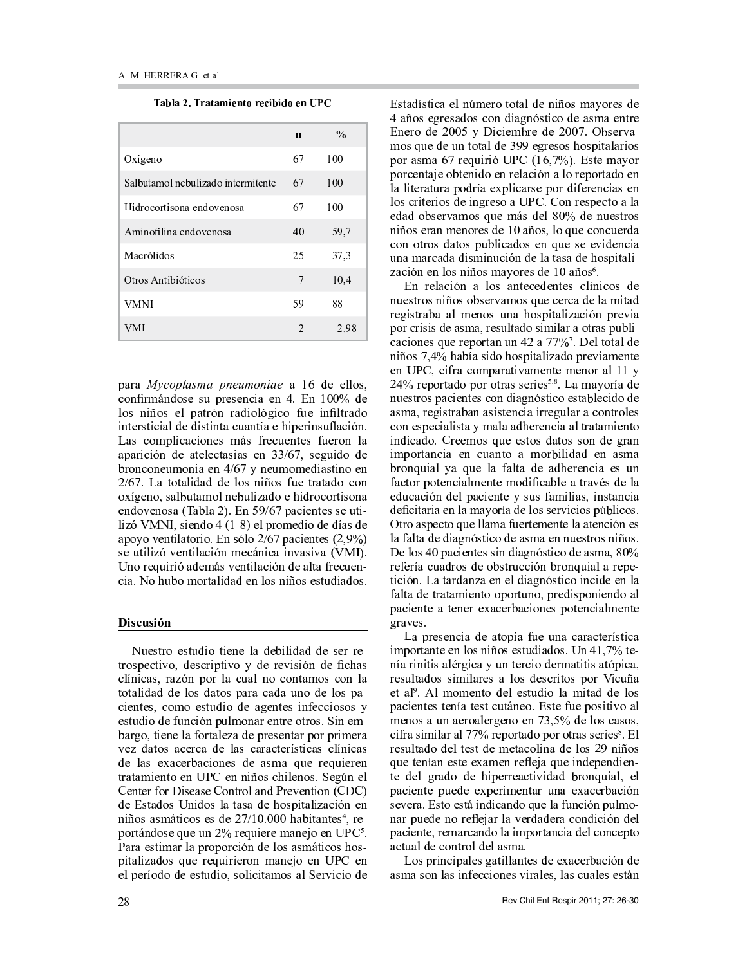· ¸ <sup>¹</sup> <sup>º</sup> ¸ » <sup>¼</sup> · <sup>½</sup> ¸ <sup>¾</sup> ¸ ¿ <sup>À</sup> <sup>Á</sup> <sup>Â</sup> <sup>¾</sup> <sup>Ã</sup> <sup>½</sup> <sup>Á</sup> <sup>Ä</sup> <sup>À</sup> <sup>¹</sup> <sup>À</sup> <sup>Å</sup> <sup>Ã</sup> <sup>Á</sup> <sup>Â</sup> <sup>Æ</sup> <sup>Ç</sup> <sup>È</sup>

|                                    | $\mathbf n$    | $\frac{0}{0}$ |
|------------------------------------|----------------|---------------|
| Oxígeno                            | 67             | 100           |
| Salbutamol nebulizado intermitente | 67             | 100           |
| Hidrocortisona endovenosa          | 67             | 100           |
| Aminofilina endovenosa             | 40             | 59,7          |
| Macrólidos                         | 25             | 37,3          |
| Otros Antibióticos                 | 7              | 10,4          |
| VMNI                               | 59             | 88            |
| VMI                                | $\mathfrak{D}$ | 2,98          |

 $\cdots$  a contract d distance for the finite distance of  $\alpha$  and  $\alpha$ u <sup>r</sup> <sup>v</sup> <sup>w</sup> \_ <sup>x</sup> <sup>y</sup> <sup>v</sup> <sup>o</sup> <sup>r</sup> <sup>s</sup> <sup>p</sup> <sup>s</sup> <sup>z</sup> ] \_ <sup>p</sup> <sup>s</sup> <sup>p</sup> <sup>v</sup> <sup>u</sup> { ^ <sup>p</sup> <sup>v</sup> <sup>|</sup> } <sup>~</sup> <sup>v</sup> <sup>m</sup> <sup>o</sup> <sup>p</sup> q <sup>r</sup> <sup>s</sup> <sup>v</sup> { <sup>r</sup> <sup>s</sup> <sup>p</sup> <sup>q</sup> ] ^ \_ <sup>v</sup> \_ ^ <sup>o</sup> { <sup>r</sup> <sup>q</sup> { <sup>u</sup> <sup>r</sup> <sup>z</sup> <sup>p</sup> { <sup>v</sup> <sup>w</sup> <sup>q</sup> \_ ^ <sup>o</sup> <sup>r</sup>  $\alpha$  , a p o p or p or p or  $\alpha$  , and the p or p or p  $\alpha$  , and  $\alpha$  is a p  $\alpha$  p  $\alpha$  or  $\alpha$  and  $\alpha$  and  $\alpha$  and  $\alpha$  $I$  s comulisations mass from proton from  $I$  $\alpha$  a purcial do otological cut  $\beta$  is a power do d \_ <sup>r</sup> <sup>v</sup> <sup>u</sup> <sup>r</sup> <sup>v</sup> <sup>p</sup> <sup>z</sup> <sup>x</sup> <sup>r</sup> <sup>v</sup> { ^ <sup>p</sup> <sup>v</sup> <sup>|</sup> <sup>n</sup> <sup>v</sup> <sup>p</sup> <sup>z</sup> <sup>x</sup> <sup>r</sup> <sup>x</sup> <sup>p</sup> <sup>o</sup> { ^ <sup>s</sup> { <sup>v</sup> <sup>r</sup> <sup>p</sup> <sup>v</sup>  $2/67$  Is totalided de les niñes fue tratede es  $z_i$  r  $i$  and  $z_i$  and  $z_i$  and  $z_i$  and  $z_i$  and  $z_i$  and  $z_i$  and  $z_i$  and  $z_i$  and  $z_i$  and  $z_i$  and  $z_i$  and  $z_i$  and  $z_i$  and  $z_i$  and  $z_i$  and  $z_i$  and  $z_i$  and  $z_i$  and  $z_i$  and  $z_i$  and  $z_i$  and  $z_i$  and  $z_i$  and  $_{2}$  v d  $_{3}$  (respectively  $\left($  T  $_{2}$   $\Lambda$  )  $_{1}$  F  $_{3}$   $_{4}$   $\Lambda$  ( $\sigma$   $_{4}$   $_{5}$   $_{6}$   $\Lambda$   $_{7}$   $_{8}$   $_{9}$   $_{10}$   $_{11}$   $_{12}$   $_{13}$   $_{14}$   $_{15}$   $_{16}$   $_{17}$   $_{18}$   $_{19}$   $_{10}$   $_{11}$   $_{12}$   $_{13}$   $l = \frac{1}{2}$  VMNI signds  $4(1, 0)$  aluminization de días d  $r_{\rm max}$  result atoms  $\Gamma$   $\alpha$  as  $\alpha$   $\beta$   $\beta$   $\beta$   $\gamma$  as  $\alpha$  atoms  $(2.007)$ so utilizó ventilogión mogénico invesivo  $(NML)$ Use requisit adopted vertile site de elte frequen  $\dot{\mathbf{a}}$  and  $\mathbf{b}$  results and  $\dot{\mathbf{a}}$  and  $\dot{\mathbf{a}}$  and  $\ddot{\mathbf{a}}$  and  $\ddot{\mathbf{a}}$  and  $\ddot{\mathbf{a}}$  and  $\ddot{\mathbf{a}}$ 

#### ¡ ¢ £ ¤ ¢ ¡ ¥ ¦

 $\mathbf{M}_{\text{measured}}$  setudio tiono lo dekilidad de son no  $\dot{r}$  and a character  $\rho$  and  $\rho$  and  $\dot{r}$  and  $\dot{r}$  and  $\dot{r}$  and  $\dot{r}$  and  $\dot{r}$  and  $\dot{r}$ u <sup>q</sup> <sup>v</sup> { <sup>u</sup> ^ <sup>s</sup> <sup>t</sup> \_ ^ <sup>v</sup> ] <sup>r</sup> \_ <sup>q</sup> ^ <sup>u</sup> <sup>z</sup> ^ <sup>q</sup> <sup>v</sup> <sup>r</sup> <sup>u</sup> <sup>r</sup> <sup>v</sup> ^ <sup>x</sup> <sup>r</sup> <sup>s</sup> <sup>u</sup> <sup>r</sup> <sup>v</sup> <sup>q</sup> ^ totolidad da lag datag mama aada waa da lag ma alahaa aanoo aatuala da amantaa intaanaanaa p <sup>s</sup> <sup>z</sup> <sup>o</sup> { <sup>r</sup> <sup>o</sup> <sup>p</sup> <sup>z</sup> <sup>v</sup> <sup>u</sup> { <sup>v</sup> ] <sup>z</sup> <sup>q</sup> <sup>x</sup> <sup>r</sup> <sup>v</sup> ^ \_ <sup>p</sup> <sup>v</sup> \_ <sup>p</sup> <sup>r</sup> \_ <sup>r</sup> <sup>s</sup> } § { <sup>v</sup> <sup>p</sup> <sup>x</sup>  $\mathbf{h}$  and  $\mathbf{v}$  ti and  $\mathbf{v}$  fantaleze demographer non-number on programacji po okonowano do poznatowani okonowano okonowano za zaklada y za zaklada za zaklada za zaklada za za o <sup>p</sup> <sup>q</sup> ^ <sup>s</sup> <sup>p</sup> ^ <sup>u</sup> <sup>p</sup> \_ ^ <sup>u</sup> { <sup>r</sup> <sup>v</sup> <sup>p</sup> <sup>s</sup> <sup>o</sup> <sup>p</sup> ^ <sup>s</sup> <sup>x</sup> ^ <sup>z</sup> <sup>p</sup> \_ <sup>p</sup> <sup>z</sup> { <sup>p</sup> \_ <sup>p</sup> <sup>v</sup>  $t$  vectors ignored and  $\overline{I}$  and  $\overline{I}$  and  $\overline{I}$  and  $\overline{I}$  and  $\overline{I}$  and  $\overline{I}$  and  $\overline{I}$  and  $\overline{I}$  and  $\overline{I}$  and  $\overline{I}$  and  $\overline{I}$  and  $\overline{I}$  and  $\overline{I}$  and  $\overline{I}$  and  $\overline{I}$  and  $\$  $Con_j$  for  $D_j$  sees  $Con_j$  and  $D_j$  suppose  $(CDC)$ do Detodos Huidos lo toso do hosmitolización o v { <sup>r</sup> <sup>s</sup> ^ <sup>s</sup> <sup>x</sup> <sup>y</sup> { <sup>u</sup> <sup>r</sup> <sup>s</sup> <sup>p</sup> <sup>s</sup> <sup>o</sup> <sup>p</sup> <sup>m</sup> } ^ { ^ <sup>v</sup> <sup>p</sup> <sup>s</sup> <sup>¬</sup> <sup>t</sup> \_ <sup>p</sup>  $r \sim 5 \mu$  decay and  $m \sim 20/$  requires respect on  $FDR^5$ ¨ ^ \_ ^ <sup>p</sup> <sup>s</sup> { <sup>x</sup> ^ \_ <sup>q</sup> ^ ] \_ <sup>r</sup> ] <sup>r</sup> \_ <sup>u</sup> { <sup>v</sup> <sup>o</sup> <sup>p</sup> <sup>q</sup> <sup>r</sup> <sup>s</sup> ^ <sup>s</sup> <sup>x</sup> <sup>y</sup> { <sup>u</sup> <sup>r</sup> <sup>s</sup> <sup>r</sup> <sup>s</sup>  $\mathbf{a}$  italizadas sua magniniamen magnaia an  $\mathbf{FIDC}$  a p a new ode do actual collecte and  $\mathbf{v}$  is represented a

 $\sim$ 

 $\Box$  of oder that a constant and the state of  $\Box$  respectively. A  $\mu$  curso constants of some discussion from discussion  $\mu$  $E_{\text{max}}$  de  $2005$  y Disiambre de  $2007$  Observe  $\boldsymbol{u}$  a  $\boldsymbol{\alpha}$  or  $\boldsymbol{\alpha}$  ,  $\boldsymbol{\alpha}$  ,  $\boldsymbol{\alpha}$  ,  $\boldsymbol{\alpha}$  ,  $\boldsymbol{\alpha}$  ,  $\boldsymbol{\alpha}$  ,  $\boldsymbol{\alpha}$  ,  $\boldsymbol{\alpha}$  ,  $\boldsymbol{\alpha}$  ,  $\boldsymbol{\alpha}$  ,  $\boldsymbol{\alpha}$  ,  $\boldsymbol{\alpha}$  ,  $\boldsymbol{\alpha}$  ,  $\boldsymbol{\alpha}$  ,  $\boldsymbol{\alpha}$  ,  $\boldsymbol{\alpha}$  ,  $\boldsymbol{\alpha}$  ,  $\boldsymbol{\alpha}$  ,  $r_{\rm crit} \sim 67$  requisit IIDC (16.70/). Este mays ] <sup>r</sup> \_ <sup>u</sup> <sup>p</sup> <sup>v</sup> ^ <sup>p</sup> <sup>r</sup> <sup>p</sup> <sup>v</sup> { <sup>o</sup> <sup>r</sup> <sup>p</sup> <sup>v</sup> \_ <sup>p</sup> <sup>q</sup> ^ <sup>u</sup> { <sup>v</sup> ^ <sup>q</sup> <sup>r</sup> \_ <sup>p</sup> ] <sup>r</sup> \_ ^ <sup>o</sup> <sup>r</sup> <sup>p</sup> <sup>v</sup> q ^ <sup>q</sup> { <sup>p</sup> \_ ^ <sup>z</sup> \_ ^ ] <sup>r</sup> <sup>o</sup> \_ ^ <sup>p</sup> ] <sup>q</sup> { <sup>u</sup> ^ \_ <sup>s</sup> <sup>p</sup> ] <sup>r</sup> \_ <sup>o</sup> { <sup>p</sup> \_ <sup>p</sup> <sup>v</sup> <sup>u</sup> { ^ <sup>s</sup> <sup>p</sup> <sup>v</sup>  $\log$  outputes de inquese a LIDC. Can negregate a  $\mathbb{I}$  $_{\rm{obs}}$  observance as we may del  $_{\rm{800}}$  de missime  $\bm{x}$  . The second respective  $\bm{v}$  and  $\bm{v}$   $\bm{v}$  and  $\bm{v}$   $\bm{v}$   $\bm{v}$   $\bm{v}$   $\bm{v}$   $\bm{v}$   $\bm{v}$   $\bm{v}$   $\bm{v}$   $\bm{v}$   $\bm{v}$   $\bm{v}$   $\bm{v}$   $\bm{v}$   $\bm{v}$   $\bm{v}$   $\bm{v}$   $\bm{v}$   $\bm{v}$   $\bm{v}$ icus atuas datas mulikaadas on sus sa avidanai z v o v o v o s d o d v o v o v o p d v o d o p d o p a d o d p s v o p d v ^ <sup>u</sup> { <sup>v</sup> <sup>p</sup> <sup>v</sup> <sup>q</sup> <sup>r</sup> <sup>s</sup> <sup>v</sup> { <sup>r</sup> <sup>s</sup> <sup>x</sup> ^ <sup>r</sup> \_ <sup>p</sup> <sup>s</sup> <sup>o</sup> <sup>p</sup> <sup>m</sup> ^ <sup>r</sup> <sup>s</sup> ° }

 $\cdots$   $\cdots$   $\cdots$   $\cdots$   $\cdots$   $\cdots$   $\cdots$   $\cdots$   $\cdots$   $\cdots$   $\cdots$   $\cdots$   $\cdots$   $\cdots$   $\cdots$   $\cdots$  $m$  r s at r s  $\mu$  is a solvening as sure same s della mita \_ <sup>p</sup> { <sup>s</sup> \_ ^ ^ ^ <sup>q</sup> <sup>x</sup> <sup>p</sup> <sup>v</sup> <sup>r</sup> <sup>s</sup> <sup>z</sup> <sup>v</sup> ^ <sup>r</sup> <sup>s</sup> ] { ^ <sup>q</sup> { ^ <sup>u</sup> { <sup>v</sup> ] \_ <sup>p</sup> { ^  $r \circ r$  is a substant of the state of  $r$  and  $r$  and  $r$  is  $r$  is  $r$  is  $r$  . u ^ <sup>u</sup> { <sup>r</sup> <sup>v</sup> <sup>p</sup> <sup>s</sup> <sup>z</sup> <sup>p</sup> \_ <sup>p</sup> ] <sup>r</sup> \_ ^ <sup>v</sup> <sup>z</sup> <sup>v</sup> <sup>|</sup> ^ <sup>±</sup> } « <sup>p</sup> <sup>q</sup> <sup>r</sup> ^ <sup>q</sup> <sup>o</sup> <sup>p</sup>  $\mu$   $\alpha$   $\alpha$   $\alpha$   $\alpha$   $\beta$   $\beta$   $\beta$   $\alpha$   $\beta$   $\beta$   $\beta$   $\alpha$   $\alpha$   $\beta$   $\beta$   $\alpha$   $\beta$   $\alpha$   $\beta$   $\gamma$ p <sup>v</sup> ¨ © t <sup>u</sup> { \_ ^ <sup>u</sup> <sup>r</sup> <sup>x</sup> ] ^ \_ ^ { ^ <sup>x</sup> <sup>p</sup> <sup>v</sup> <sup>p</sup> <sup>x</sup> <sup>p</sup> <sup>v</sup> <sup>r</sup> \_ ^ <sup>q</sup> <sup>m</sup> <sup>m</sup>  $2.40^\circ$  represented a reage atmos semice  $2.8$  J a measure  $\mu$ wysotwas nagiontae aan digaméntiae aetol lagida d  $\mathbf{r} \cdot \mathbf{r}$  s  $\mathbf{r} \cdot \mathbf{r}$   $\mathbf{r} \cdot \mathbf{r}$   $\mathbf{r} \cdot \mathbf{r}$  and  $\mathbf{r} \cdot \mathbf{r}$  and  $\mathbf{r} \cdot \mathbf{r} \cdot \mathbf{r}$  $\sim$  0  $\sim$  0  $\sim$  0  $\sim$  0  $\sim$  0  $\sim$  0  $\sim$  0  $\sim$  0  $\sim$  0  $\sim$  0  $\sim$  0  $\sim$  0  $\sim$  0  $\sim$  0  $\sim$  0  $\sim$  0  $\sim$ is diesde. *Cueamese aus setes detes son de aus*  ${x}$   ${x}$   ${y}$   ${y}$   ${y}$   ${y}$   ${y}$   ${y}$   ${y}$   ${y}$   ${y}$   ${y}$   ${y}$   ${y}$   ${y}$   ${y}$   ${y}$   ${y}$   ${y}$   ${y}$   ${y}$   ${y}$   ${y}$   ${y}$   ${y}$   ${y}$   ${y}$   ${y}$   ${y}$   ${y}$   ${y}$   ${y}$   ${y}$   ${y}$   ${y}$   ${y}$   ${y}$   $l$  represented the sum of  $l$  of  $f$  alterdated points  $l$  or  $p$   $u$ footan natanaigly anta madifical la a twarás da l  $\rho$  diagonal dalamatan'  $\rho$  is given to  $\rho$   $\alpha$   $\alpha$   $\beta$   $\alpha$   $\beta$   $\alpha$   $\beta$   $\alpha$   $\beta$  $\rm J$  ,  $\rm O$  ,  $\rm J$  and  $\rm o$  is so produced to p results to the set of  $\rm J$   $\rm J$   $\rm J$   $\rm J$   $\rm J$   $\rm J$   $\rm J$   $\rm J$   $\rm J$   $\rm J$   $\rm J$   $\rm J$   $\rm J$   $\rm J$   $\rm J$   $\rm J$   $\rm J$   $\rm J$   $\rm J$   $\rm J$   $\rm J$   $\rm J$   $\rm J$   $\rm J$   $\rm$  $\mathcal I$  , thus one only our official production of  $\mathcal I$  of  $\mathcal I$   $\mathcal I$  of  $\mathcal I$   $\mathcal I$   $\mathcal I$  of  $\mathcal I$  $\alpha$  to the diagram of the distribution  $\alpha$  is a set of  $\alpha$   $\alpha$ « <sup>p</sup> <sup>q</sup> <sup>r</sup> <sup>s</sup> <sup>|</sup> ] ^ <sup>u</sup> { <sup>p</sup> <sup>v</sup> <sup>p</sup> <sup>s</sup> <sup>s</sup> { <sup>v</sup> <sup>o</sup> { ^ <sup>v</sup> <sup>s</sup> { <sup>u</sup> <sup>r</sup> <sup>o</sup> <sup>p</sup> ^ <sup>s</sup> <sup>x</sup> ^ <sup>t</sup>  $p = \frac{1}{2}$  $\mathcal{L}$  is a fundance on al discussion inside on  $\mathcal{L}$  $\alpha$  , and the distribution of  $\alpha$  ,  $\alpha$  is a contract to the form of  $\alpha$  and  $\alpha$  and  $\alpha$  or  $\alpha$  $\mu$  a p  $\mu$  b  $\mu$  and  $\mu$  are a subset of a p  $\mu$  and  $\mu$  and  $\mu$  and  $\mu$ \_ ^ <sup>p</sup> <sup>s</sup> }

 $I$  a mussanais de stanis fus una sanastanistis  $x_i$  and  $y_i$  and  $y_i$  is represented in the set of  $x_i$  of  $x_i$  is  $x_i$  if  $x_i$  is  $x_i$  is the set of  $x_i$  is  $x_i$  is  $x_i$  is  $x_i$  is  $x_i$  is  $x_i$  is  $x_i$  is  $x_i$  is  $x_i$  is  $x_i$  is  $x_i$  is  $x_i$  is  $x_i$  is  $x_i$  is  $x_i$  i  $\cdots$   $\cdots$   $\cdots$   $\cdots$   $\cdots$   $\cdots$   $\cdots$   $\cdots$   $\cdots$   $\cdots$   $\cdots$   $\cdots$   $\cdots$   $\cdots$   $\cdots$   $\cdots$   $\cdots$  $\alpha$  s s and s  $\alpha$  r s s s is s o p s  $\alpha$  . The s  $\alpha$  p s  $\alpha$  p s  $\alpha$  is  $\alpha$  . It is set if  $\alpha$   $\alpha$   $\beta$   $\beta$   $\beta$   $\alpha$   $\alpha$   $\alpha$   $\alpha$   $\alpha$   $\beta$   $\alpha$   $\beta$   $\alpha$   $\beta$   $\alpha$   $\beta$   $\alpha$   $\beta$   $\alpha$   $\beta$   $\alpha$   $\beta$   $\alpha$   $\beta$   $\alpha$   $\beta$   $\alpha$   $\beta$   $\alpha$   $\beta$   $\alpha$   $\beta$   $\alpha$   $\beta$   $\alpha$   $\beta$   $\alpha$   $\beta$   $\alpha$   $\beta$   $\alpha$   $\beta$   $\alpha$   $\boldsymbol{u}$  a a subset of the set of the set of the set  $\boldsymbol{v}$  and  $\boldsymbol{v}$   $\boldsymbol{v}$  and  $\boldsymbol{v}$  $\boldsymbol{v}$  , and a respective to p and  $\boldsymbol{v}$  . In the property of  $\boldsymbol{v}$  $\alpha$  sine  $\alpha$  and  $\alpha$  or  $\alpha$   $\alpha$  representation  $\alpha$  representation  $\alpha$   $\beta$  .  $\Gamma$  $p_{\text{c}}$  and the deliver denotes the property of  $p_{\text{c}}$  and  $p_{\text{c}}$  and  $p_{\text{c}}$  and  $p_{\text{c}}$ z province province in the province of the province of the province of the province of the province of the pro to del emide de himemericiaded transmisto  $\mu$  a  $\alpha$  i anta  $\mu$  p  $\alpha$  and  $\alpha$  p  $\mu$  is a p  $\alpha$  p  $\mu$  and  $\alpha$  and  $\alpha$  is a p  $\alpha$  is a unit p  $\alpha$  is a p  $\alpha$  is a p  $\alpha$  $\alpha$   $\alpha$   $\alpha$   $\alpha$   $\beta$   $\alpha$   $\beta$   $\alpha$   $\beta$   $\alpha$   $\beta$   $\alpha$   $\beta$   $\alpha$   $\beta$   $\alpha$   $\beta$   $\gamma$   $\alpha$   $\alpha$   $\beta$   $\alpha$   $\alpha$   $\beta$   $\beta$   $\alpha$   $\beta$   $\gamma$   $\beta$   $\alpha$   $\beta$   $\gamma$   $\beta$   $\alpha$   $\beta$   $\gamma$   $\beta$   $\alpha$   $\beta$   $\gamma$   $\beta$   $\gamma$   $\beta$   $\gamma$  v ^ \_ ] <sup>z</sup> <sup>p</sup> <sup>o</sup> <sup>p</sup> <sup>v</sup> <sup>r</sup> \_ <sup>p</sup> <sup>p</sup> ^ \_ <sup>q</sup> ^ <sup>p</sup> \_ <sup>o</sup> ^ <sup>o</sup> <sup>p</sup> \_ ^ <sup>u</sup> <sup>r</sup> <sup>v</sup> <sup>o</sup> { <sup>u</sup> { <sup>v</sup> <sup>o</sup> <sup>p</sup> <sup>q</sup>  $\cdots$   $\cdots$   $\cdots$   $\cdots$   $\cdots$   $\cdots$   $\cdots$   $\cdots$   $\cdots$   $\cdots$   $\cdots$   $\cdots$   $\cdots$   $\cdots$   $\cdots$   $\cdots$   $\cdots$   $\cdots$ ^ <sup>u</sup> <sup>z</sup> ^ <sup>q</sup> <sup>o</sup> <sup>p</sup> <sup>u</sup> <sup>r</sup> <sup>v</sup> \_ <sup>r</sup> <sup>q</sup> <sup>o</sup> <sup>p</sup> <sup>q</sup> ^ <sup>s</sup> <sup>x</sup> ^ }

 $I$  as  $v$  who probabilizates de expension d ^ <sup>s</sup> <sup>x</sup> ^ <sup>s</sup> <sup>r</sup> <sup>v</sup> <sup>q</sup> ^ <sup>s</sup> { <sup>v</sup> <sup>p</sup> <sup>u</sup> <sup>u</sup> { <sup>r</sup> <sup>v</sup> <sup>p</sup> <sup>s</sup> { \_ ^ <sup>q</sup> <sup>p</sup> <sup>s</sup> <sup>t</sup> <sup>q</sup> ^ <sup>s</sup> <sup>u</sup> <sup>z</sup> ^ <sup>q</sup> <sup>p</sup> <sup>s</sup> <sup>p</sup> <sup>s</sup> <sup>y</sup> <sup>v</sup>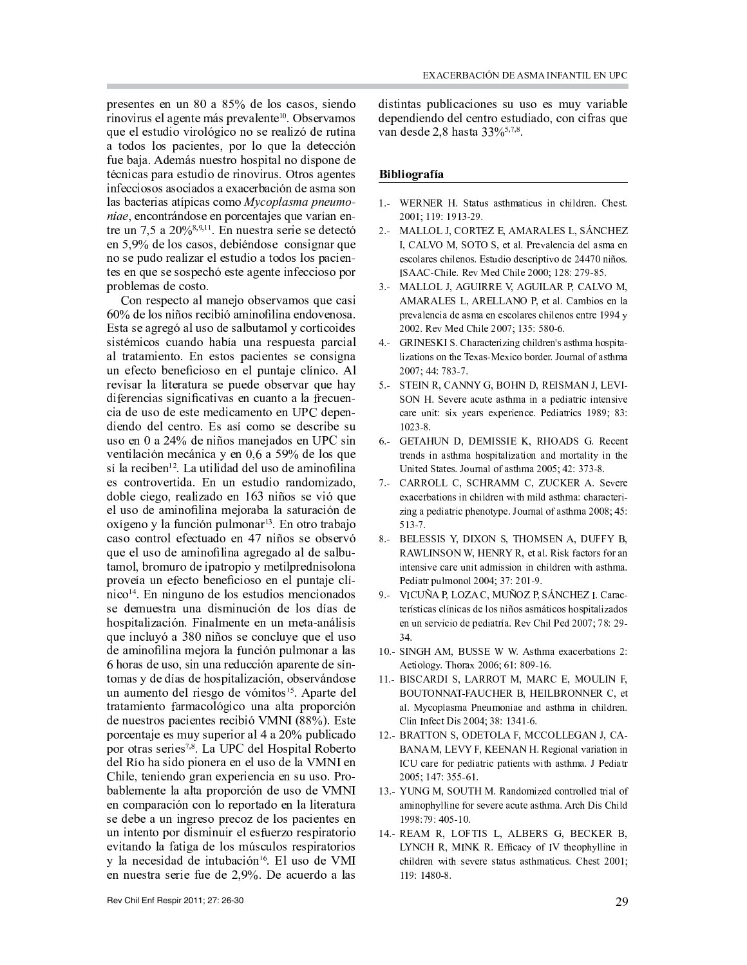presentes en un 80 a 85% de los casos, siendo rinovirus el agente más prevalente<sup>10</sup>. Observamos que el estudio virológico no se realizó de rutina a todos los pacientes, por lo que la detección fue baja. Además nuestro hospital no dispone de técnicas para estudio de rinovirus. Otros agentes infecciosos asociados a exacerbación de asma son las bacterias atípicas como Mycoplasma pneumoniae, encontrándose en porcentajes que varían entre un 7,5 a 20%<sup>8,9,11</sup>. En nuestra serie se detectó en 5,9% de los casos, debiéndose consignar que no se pudo realizar el estudio a todos los pacientes en que se sospechó este agente infeccioso por problemas de costo.

Con respecto al manejo observamos que casi 60% de los niños recibió aminofilina endovenosa. Esta se agregó al uso de salbutamol y corticoides sistémicos cuando había una respuesta parcial al tratamiento. En estos pacientes se consigna un efecto beneficioso en el puntaje clínico. Al revisar la literatura se puede observar que hay diferencias significativas en cuanto a la frecuencia de uso de este medicamento en UPC dependiendo del centro. Es así como se describe su uso en 0 a 24% de niños manejados en UPC sin ventilación mecánica y en 0,6 a 59% de los que sí la reciben<sup>12</sup>. La utilidad del uso de aminofilina es controvertida. En un estudio randomizado, doble ciego, realizado en 163 niños se vió que el uso de aminofilina mejoraba la saturación de oxígeno y la función pulmonar<sup>13</sup>. En otro trabajo caso control efectuado en 47 niños se observó que el uso de aminofilina agregado al de salbutamol, bromuro de ipatropio y metilprednisolona proveía un efecto beneficioso en el puntaje clínico<sup>14</sup>. En ninguno de los estudios mencionados se demuestra una disminución de los días de hospitalización. Finalmente en un meta-análisis que incluyó a 380 niños se concluye que el uso de aminofilina mejora la función pulmonar a las 6 horas de uso, sin una reducción aparente de síntomas y de días de hospitalización, observándose un aumento del riesgo de vómitos<sup>15</sup>. Aparte del tratamiento farmacológico una alta proporción de nuestros pacientes recibió VMNI (88%). Este porcentaje es muy superior al 4 a 20% publicado por otras series<sup>7,8</sup>. La UPC del Hospital Roberto del Río ha sido pionera en el uso de la VMNI en Chile, teniendo gran experiencia en su uso. Probablemente la alta proporción de uso de VMNI en comparación con lo reportado en la literatura se debe a un ingreso precoz de los pacientes en un intento por disminuir el esfuerzo respiratorio evitando la fatiga de los músculos respiratorios y la necesidad de intubación<sup>16</sup>. El uso de VMI en nuestra serie fue de 2,9%. De acuerdo a las

distintas publicaciones su uso es muy variable dependiendo del centro estudiado, con cifras que van desde 2,8 hasta 33%<sup>5,7,8</sup>.

## **Bibliografía**

- 1.- WERNER H. Status asthmaticus in children. Chest. 2001; 119: 1913-29.
- 2.- MALLOL J, CORTEZ E, AMARALES L, SÁNCHEZ I, CALVO M, SOTO S, et al. Prevalencia del asma en escolares chilenos. Estudio descriptivo de 24470 niños. ISAAC-Chile. Rev Med Chile 2000; 128: 279-85.
- 3.- MALLOL J, AGUIRRE V, AGUILAR P, CALVO M, AMARALES L, ARELLANO P, et al. Cambios en la prevalencia de asma en escolares chilenos entre 1994 y 2002. Rev Med Chile 2007; 135: 580-6.
- 4. GRINESKI S. Characterizing children's asthma hospitalizations on the Texas-Mexico border. Journal of asthma 2007; 44: 783-7.
- 5.- STEIN R, CANNY G, BOHN D, REISMAN J, LEVI-SON H. Severe acute asthma in a pediatric intensive care unit: six years experience. Pediatrics 1989; 83:  $1023 - 8.$
- 6.- GETAHUN D, DEMISSIE K, RHOADS G. Recent trends in asthma hospitalization and mortality in the United States. Journal of asthma 2005; 42: 373-8.
- 7.- CARROLL C, SCHRAMM C, ZUCKER A. Severe exacerbations in children with mild asthma: characterizing a pediatric phenotype. Journal of asthma 2008; 45:  $513 - 7.$
- 8.- BELESSIS Y, DIXON S, THOMSEN A, DUFFY B, RAWLINSON W, HENRY R, et al. Risk factors for an intensive care unit admission in children with asthma. Pediatr pulmonol 2004; 37: 201-9.
- 9.- VICUÑA P, LOZA C, MUÑOZ P, SÁNCHEZ I. Características clínicas de los niños asmáticos hospitalizados en un servicio de pediatría. Rev Chil Ped 2007; 78: 29-34.
- 10.- SINGH AM, BUSSE W W. Asthma exacerbations 2: Aetiology. Thorax 2006; 61: 809-16.
- 11.- BISCARDI S, LARROT M, MARC E, MOULIN F, BOUTONNAT-FAUCHER B, HEILBRONNER C, et al. Mycoplasma Pneumoniae and asthma in children. Clin Infect Dis 2004; 38: 1341-6.
- 12.- BRATTON S, ODETOLA F, MCCOLLEGAN J, CA-BANAM, LEVY F, KEENAN H. Regional variation in ICU care for pediatric patients with asthma. J Pediatr 2005; 147: 355-61.
- 13.- YUNG M, SOUTH M. Randomized controlled trial of aminophylline for severe acute asthma. Arch Dis Child 1998:79:405-10.
- 14.- REAM R, LOFTIS L, ALBERS G, BECKER B, LYNCH R, MINK R. Efficacy of IV theophylline in children with severe status asthmaticus. Chest 2001;  $119:1480-8.$